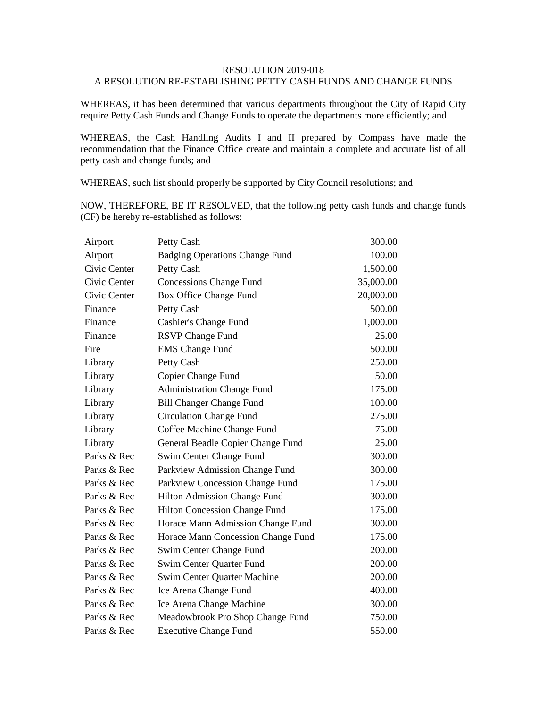## RESOLUTION 2019-018 A RESOLUTION RE-ESTABLISHING PETTY CASH FUNDS AND CHANGE FUNDS

WHEREAS, it has been determined that various departments throughout the City of Rapid City require Petty Cash Funds and Change Funds to operate the departments more efficiently; and

WHEREAS, the Cash Handling Audits I and II prepared by Compass have made the recommendation that the Finance Office create and maintain a complete and accurate list of all petty cash and change funds; and

WHEREAS, such list should properly be supported by City Council resolutions; and

NOW, THEREFORE, BE IT RESOLVED, that the following petty cash funds and change funds (CF) be hereby re-established as follows:

| Airport      | Petty Cash                            | 300.00    |
|--------------|---------------------------------------|-----------|
| Airport      | <b>Badging Operations Change Fund</b> | 100.00    |
| Civic Center | Petty Cash                            | 1,500.00  |
| Civic Center | <b>Concessions Change Fund</b>        | 35,000.00 |
| Civic Center | Box Office Change Fund                | 20,000.00 |
| Finance      | Petty Cash                            | 500.00    |
| Finance      | Cashier's Change Fund                 | 1,000.00  |
| Finance      | <b>RSVP</b> Change Fund               | 25.00     |
| Fire         | <b>EMS</b> Change Fund                | 500.00    |
| Library      | Petty Cash                            | 250.00    |
| Library      | Copier Change Fund                    | 50.00     |
| Library      | <b>Administration Change Fund</b>     | 175.00    |
| Library      | <b>Bill Changer Change Fund</b>       | 100.00    |
| Library      | <b>Circulation Change Fund</b>        | 275.00    |
| Library      | Coffee Machine Change Fund            | 75.00     |
| Library      | General Beadle Copier Change Fund     | 25.00     |
| Parks & Rec  | Swim Center Change Fund               | 300.00    |
| Parks & Rec  | Parkview Admission Change Fund        | 300.00    |
| Parks & Rec  | Parkview Concession Change Fund       | 175.00    |
| Parks & Rec  | Hilton Admission Change Fund          | 300.00    |
| Parks & Rec  | Hilton Concession Change Fund         | 175.00    |
| Parks & Rec  | Horace Mann Admission Change Fund     | 300.00    |
| Parks & Rec  | Horace Mann Concession Change Fund    | 175.00    |
| Parks & Rec  | Swim Center Change Fund               | 200.00    |
| Parks & Rec  | Swim Center Quarter Fund              | 200.00    |
| Parks & Rec  | <b>Swim Center Quarter Machine</b>    | 200.00    |
| Parks & Rec  | Ice Arena Change Fund                 | 400.00    |
| Parks & Rec  | Ice Arena Change Machine              | 300.00    |
| Parks & Rec  | Meadowbrook Pro Shop Change Fund      | 750.00    |
| Parks & Rec  | <b>Executive Change Fund</b>          | 550.00    |